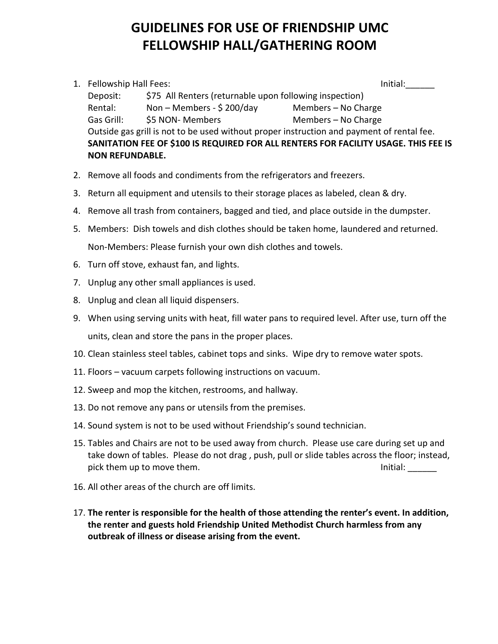## **GUIDELINES FOR USE OF FRIENDSHIP UMC FELLOWSHIP HALL/GATHERING ROOM**

- 1. Fellowship Hall Fees: Initial: Initial: Initial: Initial: Initial: Initial: Initial: Initial: Initial: Initial: Initial: Initial: Initial: Initial: Initial: Initial: Initial: Initial: Initial: Initial: Initial: Initial: Deposit: \$75 All Renters (returnable upon following inspection) Rental: Non – Members - \$200/day Members – No Charge Gas Grill: 55 NON- Members Members – No Charge Outside gas grill is not to be used without proper instruction and payment of rental fee. **SANITATION FEE OF \$100 IS REQUIRED FOR ALL RENTERS FOR FACILITY USAGE. THIS FEE IS NON REFUNDABLE.**
- 2. Remove all foods and condiments from the refrigerators and freezers.
- 3. Return all equipment and utensils to their storage places as labeled, clean & dry.
- 4. Remove all trash from containers, bagged and tied, and place outside in the dumpster.
- 5. Members: Dish towels and dish clothes should be taken home, laundered and returned. Non-Members: Please furnish your own dish clothes and towels.
- 6. Turn off stove, exhaust fan, and lights.
- 7. Unplug any other small appliances is used.
- 8. Unplug and clean all liquid dispensers.
- 9. When using serving units with heat, fill water pans to required level. After use, turn off the units, clean and store the pans in the proper places.
- 10. Clean stainless steel tables, cabinet tops and sinks. Wipe dry to remove water spots.
- 11. Floors vacuum carpets following instructions on vacuum.
- 12. Sweep and mop the kitchen, restrooms, and hallway.
- 13. Do not remove any pans or utensils from the premises.
- 14. Sound system is not to be used without Friendship's sound technician.
- 15. Tables and Chairs are not to be used away from church. Please use care during set up and take down of tables. Please do not drag , push, pull or slide tables across the floor; instead, pick them up to move them. Initial:  $\blacksquare$
- 16. All other areas of the church are off limits.
- 17. **The renter is responsible for the health of those attending the renter's event. In addition, the renter and guests hold Friendship United Methodist Church harmless from any outbreak of illness or disease arising from the event.**